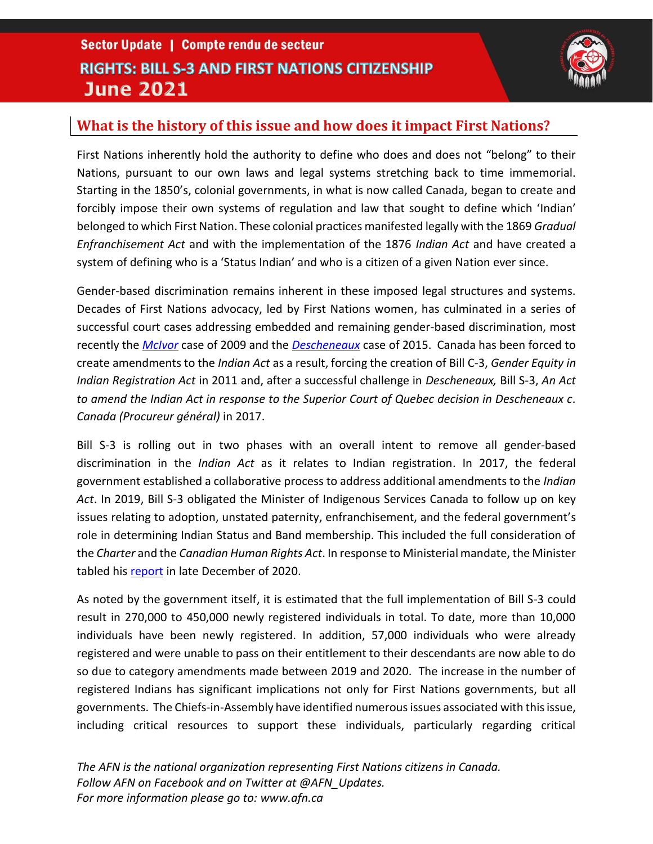## Sector Update | Compte rendu de secteur **RIGHTS: BILL S-3 AND FIRST NATIONS CITIZENSHIP June 2021**



#### **What is the history of this issue and how does it impact First Nations?**

First Nations inherently hold the authority to define who does and does not "belong" to their Nations, pursuant to our own laws and legal systems stretching back to time immemorial. Starting in the 1850's, colonial governments, in what is now called Canada, began to create and forcibly impose their own systems of regulation and law that sought to define which 'Indian' belonged to which First Nation. These colonial practices manifested legally with the 1869 *Gradual Enfranchisement Act* and with the implementation of the 1876 *Indian Act* and have created a system of defining who is a 'Status Indian' and who is a citizen of a given Nation ever since.

Gender-based discrimination remains inherent in these imposed legal structures and systems. Decades of First Nations advocacy, led by First Nations women, has culminated in a series of successful court cases addressing embedded and remaining gender-based discrimination, most recently the *[McIvor](https://www.bccourts.ca/jdb-txt/CA/09/01/2009BCCA0153err2.htm)* case of 2009 and the *[Descheneaux](https://www.canlii.org/en/qc/qccs/doc/2015/2015qccs3555/2015qccs3555.html)* case of 2015. Canada has been forced to create amendments to the *Indian Act* as a result, forcing the creation of Bill C-3, *Gender Equity in Indian Registration Act* in 2011 and, after a successful challenge in *Descheneaux,* Bill S-3, *An Act to amend the Indian Act in response to the Superior Court of Quebec decision in Descheneaux c. Canada (Procureur général)* in 2017.

Bill S-3 is rolling out in two phases with an overall intent to remove all gender-based discrimination in the *Indian Act* as it relates to Indian registration. In 2017, the federal government established a collaborative process to address additional amendments to the *Indian Act*. In 2019, Bill S-3 obligated the Minister of Indigenous Services Canada to follow up on key issues relating to adoption, unstated paternity, enfranchisement, and the federal government's role in determining Indian Status and Band membership. This included the full consideration of the *Charter* and the *Canadian Human Rights Act*. In response to Ministerial mandate, the Minister tabled his [report](https://www.sac-isc.gc.ca/eng/1608831631597/1608832913476) in late December of 2020.

As noted by the government itself, it is estimated that the full implementation of Bill S-3 could result in 270,000 to 450,000 newly registered individuals in total. To date, more than 10,000 individuals have been newly registered. In addition, 57,000 individuals who were already registered and were unable to pass on their entitlement to their descendants are now able to do so due to category amendments made between 2019 and 2020. The increase in the number of registered Indians has significant implications not only for First Nations governments, but all governments. The Chiefs-in-Assembly have identified numerous issues associated with this issue, including critical resources to support these individuals, particularly regarding critical

*The AFN is the national organization representing First Nations citizens in Canada. Follow AFN on Facebook and on Twitter at @AFN\_Updates. For more information please go to: www.afn.ca*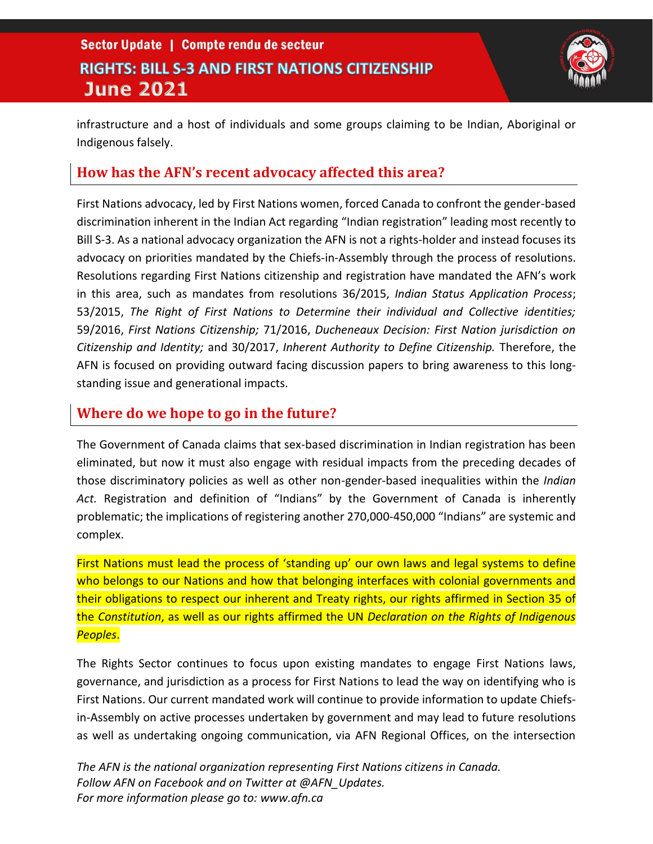### Sector Update | Compte rendu de secteur **RIGHTS: BILL S-3 AND FIRST NATIONS CITIZENSHIP June 2021**



infrastructure and a host of individuals and some groups claiming to be Indian, Aboriginal or Indigenous falsely.

#### **How has the AFN's recent advocacy affected this area?**

First Nations advocacy, led by First Nations women, forced Canada to confront the gender-based discrimination inherent in the Indian Act regarding "Indian registration" leading most recently to Bill S-3. As a national advocacy organization the AFN is not a rights-holder and instead focuses its advocacy on priorities mandated by the Chiefs-in-Assembly through the process of resolutions. Resolutions regarding First Nations citizenship and registration have mandated the AFN's work in this area, such as mandates from resolutions 36/2015, *Indian Status Application Process*; 53/2015, *The Right of First Nations to Determine their individual and Collective identities;*  59/2016, *First Nations Citizenship;* 71/2016, *Ducheneaux Decision: First Nation jurisdiction on Citizenship and Identity;* and 30/2017, *Inherent Authority to Define Citizenship.* Therefore, the AFN is focused on providing outward facing discussion papers to bring awareness to this longstanding issue and generational impacts.

#### **Where do we hope to go in the future?**

The Government of Canada claims that sex-based discrimination in Indian registration has been eliminated, but now it must also engage with residual impacts from the preceding decades of those discriminatory policies as well as other non-gender-based inequalities within the *Indian Act.* Registration and definition of "Indians" by the Government of Canada is inherently problematic; the implications of registering another 270,000-450,000 "Indians" are systemic and complex.

First Nations must lead the process of 'standing up' our own laws and legal systems to define who belongs to our Nations and how that belonging interfaces with colonial governments and their obligations to respect our inherent and Treaty rights, our rights affirmed in Section 35 of the *Constitution*, as well as our rights affirmed the UN *Declaration on the Rights of Indigenous Peoples*.

The Rights Sector continues to focus upon existing mandates to engage First Nations laws, governance, and jurisdiction as a process for First Nations to lead the way on identifying who is First Nations. Our current mandated work will continue to provide information to update Chiefsin-Assembly on active processes undertaken by government and may lead to future resolutions as well as undertaking ongoing communication, via AFN Regional Offices, on the intersection

*The AFN is the national organization representing First Nations citizens in Canada. Follow AFN on Facebook and on Twitter at @AFN\_Updates. For more information please go to: www.afn.ca*